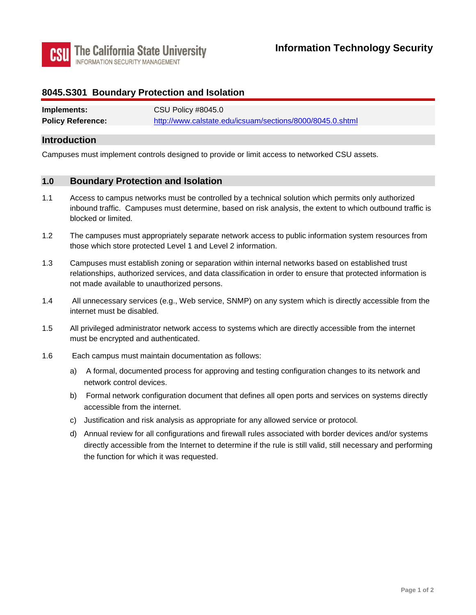

### **8045.S301 Boundary Protection and Isolation**

| Implements:              | CSU Policy #8045.0                                        |
|--------------------------|-----------------------------------------------------------|
| <b>Policy Reference:</b> | http://www.calstate.edu/icsuam/sections/8000/8045.0.shtml |

### **Introduction**

Campuses must implement controls designed to provide or limit access to networked CSU assets.

#### **1.0 Boundary Protection and Isolation**

- 1.1 Access to campus networks must be controlled by a technical solution which permits only authorized inbound traffic. Campuses must determine, based on risk analysis, the extent to which outbound traffic is blocked or limited.
- 1.2 The campuses must appropriately separate network access to public information system resources from those which store protected Level 1 and Level 2 information.
- 1.3 Campuses must establish zoning or separation within internal networks based on established trust relationships, authorized services, and data classification in order to ensure that protected information is not made available to unauthorized persons.
- $1.4$ All unnecessary services (e.g., Web service, SNMP) on any system which is directly accessible from the internet must be disabled.
- $1.5$ All privileged administrator network access to systems which are directly accessible from the internet must be encrypted and authenticated.
- $1.6$ Each campus must maintain documentation as follows:
	- a) A formal, documented process for approving and testing configuration changes to its network and network control devices.
	- b) Formal network configuration document that defines all open ports and services on systems directly accessible from the internet.
	- c) Justification and risk analysis as appropriate for any allowed service or protocol.
	- directly accessible from the Internet to determine if the rule is still valid, still necessary and performing d) Annual review for all configurations and firewall rules associated with border devices and/or systems the function for which it was requested.